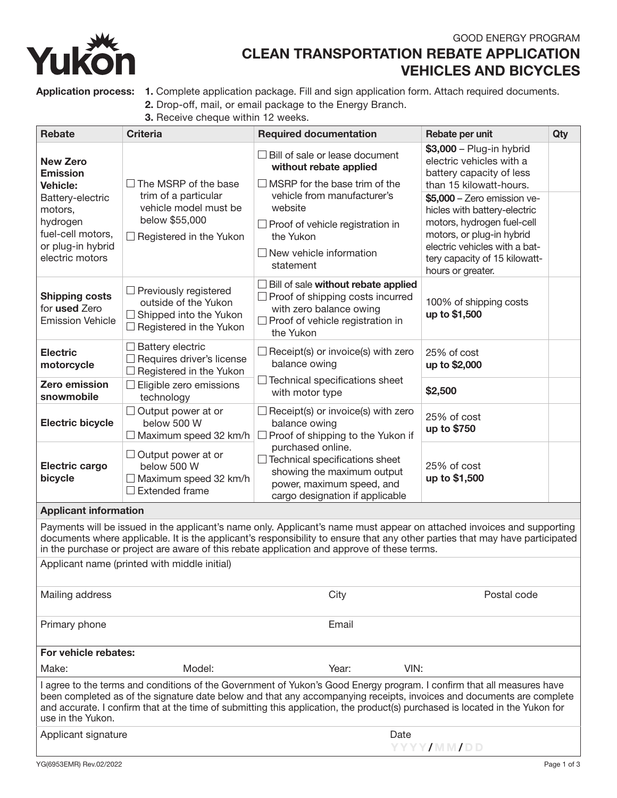

# GOOD ENERGY PROGRAM CLEAN TRANSPORTATION REBATE APPLICATION VEHICLES AND BICYCLES

Application process: 1. Complete application package. Fill and sign application form. Attach required documents.

- 2. Drop-off, mail, or email package to the Energy Branch.
- 3. Receive cheque within 12 weeks.

| <b>Rebate</b>                                                                                                                                                                                                                                                                                                                                                                                         | <b>Criteria</b>                                                                                                                  | <b>Required documentation</b>                                                                                                                                                                                                                                      | Rebate per unit                                                                                                                                                                                                                                                                                                               | Qty |
|-------------------------------------------------------------------------------------------------------------------------------------------------------------------------------------------------------------------------------------------------------------------------------------------------------------------------------------------------------------------------------------------------------|----------------------------------------------------------------------------------------------------------------------------------|--------------------------------------------------------------------------------------------------------------------------------------------------------------------------------------------------------------------------------------------------------------------|-------------------------------------------------------------------------------------------------------------------------------------------------------------------------------------------------------------------------------------------------------------------------------------------------------------------------------|-----|
| <b>New Zero</b><br><b>Emission</b><br><b>Vehicle:</b><br>Battery-electric<br>motors,<br>hydrogen<br>fuel-cell motors,<br>or plug-in hybrid<br>electric motors                                                                                                                                                                                                                                         | $\Box$ The MSRP of the base<br>trim of a particular<br>vehicle model must be<br>below \$55,000<br>$\Box$ Registered in the Yukon | $\Box$ Bill of sale or lease document<br>without rebate applied<br>$\Box$ MSRP for the base trim of the<br>vehicle from manufacturer's<br>website<br>$\Box$ Proof of vehicle registration in<br>the Yukon<br>$\Box$ New vehicle information<br>statement           | $$3,000 - Plug-in hybrid$<br>electric vehicles with a<br>battery capacity of less<br>than 15 kilowatt-hours.<br>\$5,000 - Zero emission ve-<br>hicles with battery-electric<br>motors, hydrogen fuel-cell<br>motors, or plug-in hybrid<br>electric vehicles with a bat-<br>tery capacity of 15 kilowatt-<br>hours or greater. |     |
| <b>Shipping costs</b><br>for used Zero<br><b>Emission Vehicle</b>                                                                                                                                                                                                                                                                                                                                     | $\Box$ Previously registered<br>outside of the Yukon<br>$\Box$ Shipped into the Yukon<br>$\Box$ Registered in the Yukon          | $\Box$ Bill of sale without rebate applied<br>$\Box$ Proof of shipping costs incurred<br>with zero balance owing<br>$\Box$ Proof of vehicle registration in<br>the Yukon                                                                                           | 100% of shipping costs<br>up to \$1,500                                                                                                                                                                                                                                                                                       |     |
| <b>Electric</b><br>motorcycle                                                                                                                                                                                                                                                                                                                                                                         | $\Box$ Battery electric<br>□ Requires driver's license<br>$\Box$ Registered in the Yukon                                         | $\Box$ Receipt(s) or invoice(s) with zero<br>balance owing                                                                                                                                                                                                         | 25% of cost<br>up to \$2,000                                                                                                                                                                                                                                                                                                  |     |
| <b>Zero emission</b><br>snowmobile                                                                                                                                                                                                                                                                                                                                                                    | $\Box$ Eligible zero emissions<br>technology                                                                                     | $\Box$ Technical specifications sheet<br>with motor type                                                                                                                                                                                                           | \$2,500                                                                                                                                                                                                                                                                                                                       |     |
| <b>Electric bicycle</b>                                                                                                                                                                                                                                                                                                                                                                               | $\Box$ Output power at or<br>below 500 W<br>$\Box$ Maximum speed 32 km/h                                                         | $\Box$ Receipt(s) or invoice(s) with zero<br>balance owing<br>$\Box$ Proof of shipping to the Yukon if<br>purchased online.<br>$\Box$ Technical specifications sheet<br>showing the maximum output<br>power, maximum speed, and<br>cargo designation if applicable | 25% of cost<br>up to \$750                                                                                                                                                                                                                                                                                                    |     |
| <b>Electric cargo</b><br>bicycle                                                                                                                                                                                                                                                                                                                                                                      | $\Box$ Output power at or<br>below 500 W<br>$\Box$ Maximum speed 32 km/h<br>$\Box$ Extended frame                                |                                                                                                                                                                                                                                                                    | 25% of cost<br>up to \$1,500                                                                                                                                                                                                                                                                                                  |     |
| <b>Applicant information</b>                                                                                                                                                                                                                                                                                                                                                                          |                                                                                                                                  |                                                                                                                                                                                                                                                                    |                                                                                                                                                                                                                                                                                                                               |     |
| Payments will be issued in the applicant's name only. Applicant's name must appear on attached invoices and supporting<br>documents where applicable. It is the applicant's responsibility to ensure that any other parties that may have participated<br>in the purchase or project are aware of this rebate application and approve of these terms.<br>Applicant name (printed with middle initial) |                                                                                                                                  |                                                                                                                                                                                                                                                                    |                                                                                                                                                                                                                                                                                                                               |     |
| Mailing address                                                                                                                                                                                                                                                                                                                                                                                       |                                                                                                                                  | City                                                                                                                                                                                                                                                               | Postal code                                                                                                                                                                                                                                                                                                                   |     |
| Primary phone                                                                                                                                                                                                                                                                                                                                                                                         |                                                                                                                                  | Email                                                                                                                                                                                                                                                              |                                                                                                                                                                                                                                                                                                                               |     |
| For vehicle rebates:                                                                                                                                                                                                                                                                                                                                                                                  |                                                                                                                                  |                                                                                                                                                                                                                                                                    |                                                                                                                                                                                                                                                                                                                               |     |
| Make:                                                                                                                                                                                                                                                                                                                                                                                                 | Model:                                                                                                                           | Year:<br>VIN:                                                                                                                                                                                                                                                      |                                                                                                                                                                                                                                                                                                                               |     |
| I agree to the terms and conditions of the Government of Yukon's Good Energy program. I confirm that all measures have<br>been completed as of the signature date below and that any accompanying receipts, invoices and documents are complete<br>and accurate. I confirm that at the time of submitting this application, the product(s) purchased is located in the Yukon for<br>use in the Yukon. |                                                                                                                                  |                                                                                                                                                                                                                                                                    |                                                                                                                                                                                                                                                                                                                               |     |
| Applicant signature                                                                                                                                                                                                                                                                                                                                                                                   |                                                                                                                                  | Date<br>YYYY/MM/DD                                                                                                                                                                                                                                                 |                                                                                                                                                                                                                                                                                                                               |     |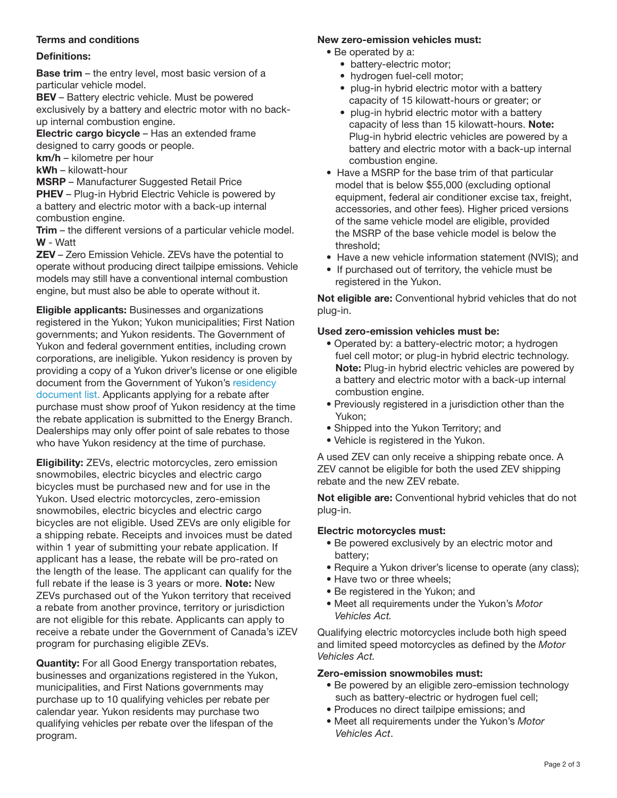# Terms and conditions

# Definitions:

Base trim – the entry level, most basic version of a particular vehicle model.

**BEV** – Battery electric vehicle. Must be powered exclusively by a battery and electric motor with no backup internal combustion engine.

Electric cargo bicycle – Has an extended frame designed to carry goods or people. km/h – kilometre per hour

kWh – kilowatt-hour

MSRP – Manufacturer Suggested Retail Price **PHEV** – Plug-in Hybrid Electric Vehicle is powered by a battery and electric motor with a back-up internal combustion engine.

**Trim** – the different versions of a particular vehicle model. W - Watt

ZEV – Zero Emission Vehicle. ZEVs have the potential to operate without producing direct tailpipe emissions. Vehicle models may still have a conventional internal combustion engine, but must also be able to operate without it.

Eligible applicants: Businesses and organizations registered in the Yukon; Yukon municipalities; First Nation governments; and Yukon residents. The Government of Yukon and federal government entities, including crown corporations, are ineligible. Yukon residency is proven by providing a copy of a Yukon driver's license or one eligible document from the Government of Yukon's [residency](https://yukon.ca/en/driving-and-transportation/driver-licensing/identity-documents-needed-get-drivers-licence)  [document list.](https://yukon.ca/en/driving-and-transportation/driver-licensing/identity-documents-needed-get-drivers-licence) Applicants applying for a rebate after purchase must show proof of Yukon residency at the time the rebate application is submitted to the Energy Branch. Dealerships may only offer point of sale rebates to those who have Yukon residency at the time of purchase.

Eligibility: ZEVs, electric motorcycles, zero emission snowmobiles, electric bicycles and electric cargo bicycles must be purchased new and for use in the Yukon. Used electric motorcycles, zero-emission snowmobiles, electric bicycles and electric cargo bicycles are not eligible. Used ZEVs are only eligible for a shipping rebate. Receipts and invoices must be dated within 1 year of submitting your rebate application. If applicant has a lease, the rebate will be pro-rated on the length of the lease. The applicant can qualify for the full rebate if the lease is 3 years or more. Note: New ZEVs purchased out of the Yukon territory that received a rebate from another province, territory or jurisdiction are not eligible for this rebate. Applicants can apply to receive a rebate under the Government of Canada's iZEV program for purchasing eligible ZEVs.

Quantity: For all Good Energy transportation rebates, businesses and organizations registered in the Yukon, municipalities, and First Nations governments may purchase up to 10 qualifying vehicles per rebate per calendar year. Yukon residents may purchase two qualifying vehicles per rebate over the lifespan of the program.

## New zero-emission vehicles must:

- Be operated by a:
	- battery-electric motor;
	- hydrogen fuel-cell motor;
	- plug-in hybrid electric motor with a battery capacity of 15 kilowatt-hours or greater; or
	- plug-in hybrid electric motor with a battery capacity of less than 15 kilowatt-hours. Note: Plug-in hybrid electric vehicles are powered by a battery and electric motor with a back-up internal combustion engine.
- Have a MSRP for the base trim of that particular model that is below \$55,000 (excluding optional equipment, federal air conditioner excise tax, freight, accessories, and other fees). Higher priced versions of the same vehicle model are eligible, provided the MSRP of the base vehicle model is below the threshold;
- Have a new vehicle information statement (NVIS); and
- If purchased out of territory, the vehicle must be registered in the Yukon.

Not eligible are: Conventional hybrid vehicles that do not plug-in.

## Used zero-emission vehicles must be:

- Operated by: a battery-electric motor; a hydrogen fuel cell motor; or plug-in hybrid electric technology. Note: Plug-in hybrid electric vehicles are powered by a battery and electric motor with a back-up internal combustion engine.
- Previously registered in a jurisdiction other than the Yukon;
- Shipped into the Yukon Territory; and
- Vehicle is registered in the Yukon.

A used ZEV can only receive a shipping rebate once. A ZEV cannot be eligible for both the used ZEV shipping rebate and the new ZEV rebate.

Not eligible are: Conventional hybrid vehicles that do not plug-in.

## Electric motorcycles must:

- Be powered exclusively by an electric motor and battery;
- Require a Yukon driver's license to operate (any class);
- Have two or three wheels;
- Be registered in the Yukon; and
- Meet all requirements under the Yukon's *Motor Vehicles Act.*

Qualifying electric motorcycles include both high speed and limited speed motorcycles as defined by the *Motor Vehicles Act.*

## Zero-emission snowmobiles must:

- Be powered by an eligible zero-emission technology such as battery-electric or hydrogen fuel cell;
- Produces no direct tailpipe emissions; and
- Meet all requirements under the Yukon's *Motor Vehicles Act*.